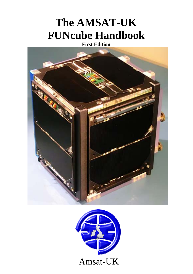# **The AMSAT-UK FUNcube Handbook**

**First Edition** 



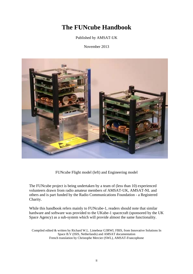# **The FUNcube Handbook**

Published by AMSAT-UK

November 2013



FUNcube Flight model (left) and Engineering model

The FUNcube project is being undertaken by a team of (less than 10) experienced volunteers drawn from radio amateur members of AMSAT-UK, AMSAT-NL and others and is part funded by the Radio Communications Foundation - a Registered Charity.

While this handbook refers mainly to FUNcube-1, readers should note that similar hardware and software was provided to the UKube-1 spacecraft (sponsored by the UK Space Agency) as a sub-system which will provide almost the same functionality.

Compiled edited & written by Richard W.L. Limebear G3RWL FBIS, from Innovative Solutions In Space B.V (ISIS, Netherlands) and AMSAT documentation French translation by Christophe Mercier (SWL), AMSAT-Francophone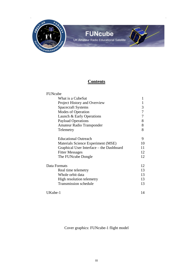

# **FUNcube**

UK Amateur Radio Educational Satellite

# **Contents**

| FUNcube                                  |    |
|------------------------------------------|----|
| What is a CubeSat                        |    |
| Project History and Overview             | 1  |
| <b>Spacecraft Systems</b>                | 3  |
| Modes of Operation                       | 7  |
| Launch & Early Operations                | 7  |
| <b>Payload Operations</b>                | 8  |
| Amateur Radio Transponder                | 8  |
| Telemetry                                | 8  |
| <b>Educational Outreach</b>              | 9  |
| Materials Science Experiment (MSE)       | 10 |
| Graphical User Interface - the Dashboard |    |
| <b>Fitter Messages</b>                   | 12 |
| The FUNcube Dongle                       | 12 |
| Data Formats                             | 12 |
| Real time telemetry                      | 13 |
| Whole orbit data                         | 13 |
| High resolution telemetry                | 13 |
| <b>Transmission schedule</b>             | 13 |
| UKube-1                                  | 14 |

Cover graphics: FUNcube-1 flight model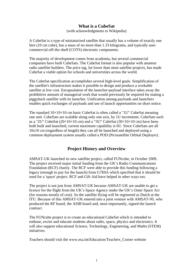# **What is a CubeSat**

(with acknowledgments to Wikipedia)

A CubeSat is a type of miniaturized satellite that usually has a volume of exactly one litre (10 cm cube), has a mass of no more than 1.33 kilograms, and typically uses commercial-off-the-shelf (COTS) electronic components.

The majority of development comes from academia, but several commercial companies have built CubeSats. The CubeSat format is also popular with amateur radio satellite builders. The price tag, far lower than most satellite projects, has made CubeSat a viable option for schools and universities across the world.

The CubeSat specification accomplishes several high-level goals. Simplification of the satellite's infrastructure makes it possible to design and produce a workable satellite at low cost. Encapsulation of the launcher-payload interface takes away the prohibitive amount of managerial work that would previously be required for mating a piggyback satellite with its launcher. Unification among payloads and launchers enables quick exchanges of payloads and use of launch opportunities on short notice.

The standard  $10\times10\times10$  cm basic CubeSat is often called a "1U" CubeSat meaning one unit. CubeSats are scalable along only one axis, by 1U increments. CubeSats such as a "2U" CubeSat  $(20\times10\times10$  cm) and a "3U" CubeSat  $(30\times10\times10$  cm) have been both built and launched; current maximum capability is 6U. Since CubeSats are all 10x10 cm (regardless of length) they can all be launched and deployed using a common deployment system usually called a POD (Picosatellite Orbital Deployer).

# **Project History and Overview**

AMSAT-UK launched its new satellite project, called FUNcube, in October 2009. The project received major initial funding from the UK's Radio Communications Foundation (RCF) charity. The RCF were able to provide this funding following a legacy (enough to pay for the launch) from G7HIA which specified that it should be used for a 'space' project. RCF and Gift Aid have helped in other ways too.

The project is not just from AMSAT-UK because AMSAT-UK are unable to get a licence for the flight from the UK's Space Agency under the UK's Outer Space Act (for reasons mostly of cost). So the satellite flying will be registered as Dutch at the ITU. Because of this AMSAT-UK entered into a joint venture with AMSAT-NL who produced the RF board, the ASIB board and, most importantly, signed the launch contract.

The FUNcube project is to create an educational CubeSat which is intended to enthuse, excite and educate students about radio, space, physics and electronics. It will also support educational Science, Technology, Engineering, and Maths (STEM) initiatives.

Teachers should visit the www.esa.int/Education/Teachers\_Corner website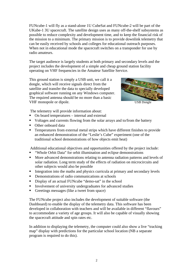FUNcube-1 will fly as a stand-alone 1U CubeSat and FUNcube-2 will be part of the UKube-1 3U spacecraft. The satellite design uses as many off-the-shelf subsystems as possible to reduce complexity and development time, and to keep the financial risk of the mission to a minimum. The primary mission is to provide downlink telemetry that can be easily received by schools and colleges for educational outreach purposes. When not in educational mode the spacecraft switches on a transponder for use by radio amateurs.

The target audience is largely students at both primary and secondary levels and the project includes the development of a simple and cheap ground station facility operating on VHF frequencies in the Amateur Satellite Service.

This ground station is simply a USB unit, we call it a dongle, which will receive signals direct from the satellite and transfer the data to specially developed graphical software running on any Windows computer. The required antenna should be no more than a basic VHF monopole or dipole. USB Dongle



The telemetry will provide information about:

- On board temperatures internal and external
- Voltages and currents flowing from the solar arrays and to/from the battery
- Other onboard data
- Temperatures from external metal strips which have different finishes to provide an enhanced demonstration of the "Leslie's Cube" experiment (one of the traditional school demonstrations of how objects emit heat)

Additional educational objectives and opportunities offered by the project include:

- "Whole Orbit Data" for orbit illumination and eclipse demonstrations
- More advanced demonstrations relating to antenna radiation patterns and levels of solar radiation. Long term study of the effects of radiation on microcircuits and other subjects would also be possible
- Integration into the maths and physics curricula at primary and secondary levels
- Demonstrations of radio communications at schools
- Display of an actual FUNcube "demo-sat" in the school
- **I** Involvement of university undergraduates for advanced studies
- Greetings messages (like a tweet from space)

The FUNcube project also includes the development of suitable software (the Dashboard) to enable the display of the telemetry data. This software has been developed in collaboration with teachers and will be available in different "flavours" to accommodate a variety of age groups. It will also be capable of visually showing the spacecraft attitude and spin rates etc.

In addition to displaying the telemetry, the computer could also show a live "tracking map" display with predictions for the particular school location (NB a separate program is required to do this).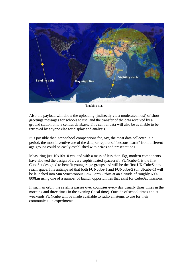

Tracking map

Also the payload will allow the uploading (indirectly via a moderated host) of short greetings messages for schools to use, and the transfer of the data received by a ground station onto a central database. This central data will also be available to be retrieved by anyone else for display and analysis.

It is possible that inter-school competitions for, say, the most data collected in a period, the most inventive use of the data, or reports of "lessons learnt" from different age groups could be easily established with prizes and presentations.

Measuring just  $10x10x10$  cm, and with a mass of less than 1kg, modern components have allowed the design of a very sophisticated spacecraft. FUNcube-1 is the first CubeSat designed to benefit younger age groups and will be the first UK CubeSat to reach space. It is anticipated that both FUNcube-1 and FUNcube-2 (on UKube-1) will be launched into Sun Synchronous Low Earth Orbits at an altitude of roughly 600- 800km using one of a number of launch opportunities that exist for CubeSat missions.

In such an orbit, the satellite passes over countries every day usually three times in the morning and three times in the evening (local time). Outside of school times and at weekends FUNcube will be made available to radio amateurs to use for their communication experiments.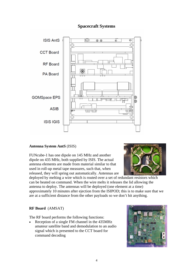# **Spacecraft Systems**



### **Antenna System AntS** (ISIS)

FUNcube-1 has one dipole on 145 MHz and another dipole on 435 MHz, both supplied by ISIS. The actual antenna elements are made from material similar to that used in roll-up metal tape measures, such that, when released, they will spring out automatically. Antennas are



deployed by melting a wire which is routed over a set of redundant resistors which can be heated on command. When the wire melts it releases the lid allowing the antenna to deploy. The antennas will be deployed (one element at a time) approximately 10 minutes after ejection from the ISIPOD; this is to make sure that we are at a sufficient distance from the other payloads so we don't hit anything.

#### **RF Board** (AMSAT)

The RF board performs the following functions:

• Reception of a single FM channel in the 435MHz amateur satellite band and demodulation to an audio signal which is presented to the CCT board for command decoding

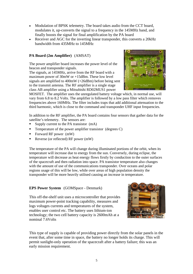- Modulation of BPSK telemetry. The board takes audio from the CCT board, modulates it, up-converts the signal to a frequency in the 145MHz band, and finally boosts the signal for final amplification by the PA board
- Receiver and AGC for the inverting linear transponder, this converts a 20kHz bandwidth from 435MHz to 145MHz

### **PA Board (2m Amplifier)** (AMSAT)

The power amplifier board increases the power level of the beacon and transponder signals.

The signals, at 145MHz, arrive from the RF board with a maximum power of 30mW or +15dBm. These low level signals are amplified to 400mW (+26dBm) before being sent to the transmit antenna. The RF amplifier is a single stage class AB amplifier using a Mitsubishi RD02MUS1 power



MOSFET. The amplifier uses the unregulated battery voltage which, in normal use, will vary from 6.8 to 8.2 Volts. The amplifier is followed by a low pass filter which removes frequencies above 160MHz. The filter includes traps that add additional attenuation to the third harmonic, which is close to the command and transponder UHF input frequencies.

In addition to the RF amplifier, the PA board contains four sensors that gather data for the satellite's telemetry. The sensors are:

- Supply current to the PA transistor  $(mA)$
- **Temperature of the power amplifier transistor** (degrees  $C$ )
- Forward RF power  $(mW)$
- Reverse (or reflected) RF power  $(mW)$

The temperature of the PA will change during illuminated portions of the orbit, when its temperature will increase due to energy from the sun. Conversely, during eclipse, the temperature will decrease as heat energy flows firstly by conduction to the outer surfaces of the spacecraft and then radiation into space. PA transistor temperature also changes with the amount of use of the communications transponder. Over oceans and polar regions usage of this will be low, while over areas of high population density the transponder will be more heavily utilised causing an increase in temperature.

### **EPS Power System** (GOMSpace - Denmark)

This off-the-shelf unit uses a microcontroller that provides maximum power-point tracking capability, measures and logs voltages currents and temperatures of the system, enables user control etc. The battery uses lithium-ion technology; the two cell battery capacity is 2600mAh at a nominal 7.6Volts



This type of supply is capable of providing power directly from the solar panels in the event that, after some time in space, the battery no longer holds its charge. This will permit sunlight-only operation of the spacecraft after a battery failure; this was an early mission requirement.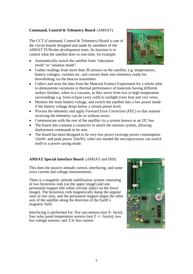#### **Command, Control & Telemetry Board** (AMSAT)

The CCT (Command, Control & Telemetry) Board is one of the circuit boards designed and made by members of the AMSAT FUNcube development team. Its function is to control what the satellite does in real-time, for example:

- Automatically switch the satellite from "education" mode" to "amateur mode".
- Gather readings from more than 30 sensors on the satellite, e.g. temperatures, battery voltages, currents etc, and convert them into telemetry ready for downlinking via the beacon transmitter.
- Collect and store the data from the Material Science Experiment for a whole orbit to demonstrate variations in thermal performance of materials having different surface finishes, when in a vacuum, as they move from low to high temperature surroundings e.g. from eclipse (very cold) to sunlight (very hot) and vice versa.
- Monitor the main battery voltage, and switch the satellite into a low power mode if the battery voltage drops below a certain preset level.
- Process the telemetry and apply Forward Error Correction (FEC) so that stations receiving the telemetry can do so without errors.
- Communicate with the rest of the satellite via a system known as an I2C bus.
- The board also contains a connector to attach the antenna system, allowing deployment commands to be sent.
- The board has been designed to be very low power (average power consumption 15mW, and peak power 33mW), when not needed the microprocessor can switch itself to a power saving mode.

### **AMSAT Special Interface Board** (AMSAT and ISIS)

This does the passive attitude control, interfacing, and some extra current and voltage measurements.

There is a magnetic attitude stabilization system consisting of two hysteresis rods (on the upper image) and one permanent magnet (the white circular object on the lower image). The hysteresis rods magnetically damp the angular rates in two axes, and the permanent magnet aligns the other axis of the satellite along the direction of the Earth's magnetic field.

Interfacing is performed for: five sun-sensors (not X- facet); four solar panel temperature sensors (not  $Z +$  - facets); two bus voltage sensors; and 3.3v bus current.



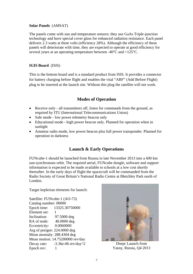#### **Solar Panels** (AMSAT)

The panels come with sun and temperature sensors; they use GaAs Triple-junction technology and have special cover glass for enhanced radiation resistance. Each panel delivers 2.3 watts at three volts (efficiency 28%). Although the efficiency of these panels will deteriorate with time, they are expected to operate at good efficiency for several years at an operating temperature between -40°C and +125°C.

### **IGIS Board** (ISIS)

This is the bottom board and is a standard product from ISIS. It provides a connector for battery charging before flight and enables the vital "ABF" (Add Before Flight) plug to be inserted at the launch site. Without this plug the satellite will not work.

# **Modes of Operation**

- Receive only all transmitters off, listen for commands from the ground, as required by ITU (International Telecommunications Union)
- Safe mode low power telemetry beacon only
- Educational mode high power beacon only. Planned for operation when in sunlight
- Amateur radio mode, low power beacon plus full power transponder. Planned for operation in darkness

# **Launch & Early Operations**

FUNcube-1 should be launched from Russia in late November 2013 into a 600 km sun-synchronous orbit. The required aerial, FUNcube dongle, software and support information is expected to be made available to schools at a low cost shortly thereafter. In the early days of flight the spacecraft will be commanded from the Radio Society of Great Britain's National Radio Centre at Bletchley Park north of London.

Target keplerian elements for launch:

Satellite: FUNcube-1 (AO-73) Catalog number: 00000 Epoch time: 13325.30750000 Element set: 1 Inclination: 97.5000 deg RA of node: 40.0000 deg Eccentricity: 0.0060000 Arg of perigee: 224.0000 deg Mean anomaly: 288.4304 deg Mean motion: 14.75200000 rev/day Decay rate: -3.36e-06 rev/day^2 Epoch rev: 1



Dnepr Launch from Yasny, Russia, Q4 2013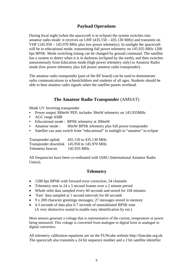# **Payload Operations**

During local night (when the spacecraft is in eclipse) the system switches into amateur radio mode: it receives on UHF (435.150 – 435.130 MHz) and transmits on VHF (145.950 – 145.970 MHz plus low power telemetry). In sunlight the spacecraft will be in educational mode, transmitting full power telemetry on 145.935 MHz 1200 bps BPSK. Mode switching timing can be changed by ground command. The satellite has a system to detect when it is in darkness (eclipsed by the earth), and then switches autonomously from Education mode (high power telemetry only) to Amateur Radio mode (low power telemetry plus full power amateur radio transponder).

The amateur radio transponder (part of the RF board) can be used to demonstrate radio communications to schoolchildren and students of all ages. Students should be able to hear amateur radio signals when the satellite passes overhead.

# **The Amateur Radio Transponder** (AMSAT)

Mode UV Inverting transponder

- Power output 300mW PEP, includes 30mW telemetry on 145.935MHz
- AGC range 43dB
- Educational mode : BPSK telemetry at 300mW
- Amateur mode : 30mW BPSK telemetry plus full power transponder
- Satellite can auto switch from "educational" in sunlight to "amateur" in eclipse

Transponder uplink 435.150 to 435.130 MHz Transponder downlink 145.950 to 145.970 MHz Telemetry beacon 145.935 MHz

All frequencies have been co-ordinated with IARU (International Amateur Radio Union).

# **Telemetry**

- 1200 bps BPSK with forward error correction, 54 channels
- Telemetry sent in 24 x 5 second frames over a 2 minute period
- Whole orbit data sampled every 60 seconds and stored for 104 minutes
- 'Fast' data sampled at 1 second intervals for 60 seconds
- 9 x 200 character greetings messages; 27 messages stored in memory
- 4.3 seconds of data plus 0.7 seconds of unmodulated BPSK tone (A very distinctive sound to enable easy identification by ear.)

Most sensors generate a voltage that is representative of the current, temperature or power being measured. This voltage is converted from analogue to digital form in analogue to digital converters.

All telemetry calibration equations are on the FUNcube website http://funcube.org.uk The spacecraft also transmits a 24 bit sequence number and a 2 bit satellite identifier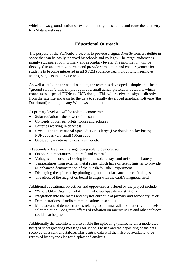which allows ground station software to identify the satellite and route the telemetry to a 'data warehouse'.

# **Educational Outreach**

The purpose of the FUNcube project is to provide a signal *directly* from a satellite in space that can be easily received by schools and colleges. The target audience is mainly students at both primary and secondary levels. The information will be displayed in an attractive format and provide stimulation and encouragement for students to become interested in all STEM (Science Technology Engineering & Maths) subjects in a unique way.

As well as building the actual satellite, the team has developed a simple and cheap "ground station". This simply requires a small aerial, preferably outdoors, which connects to a special FUNcube USB dongle. This will receive the signals directly from the satellite and transfer the data to specially developed graphical software (the Dashboard) running on any Windows computer.

At primary level we will be able to demonstrate:

- Solar radiation the power of the sun
- Concepts of planets, orbits, forces and eclipses
- Batteries working in darkness
- Sizes The International Space Station is large (five double-decker buses) FUNcube is very small (10cm cube)
- Geography nations, places, weather etc

At secondary level we envisage being able to demonstrate:

- On board temperatures internal and external
- Voltages and currents flowing from the solar arrays and to/from the battery
- Temperatures from external metal strips which have different finishes to provide an enhanced demonstration of the "Leslie's Cube" experiment
- Displaying the spin rate by plotting a graph of solar panel current/voltages
- The effect of the magnet on board to align with the earth's magnetic field

Additional educational objectives and opportunities offered by the project include:

- "Whole Orbit Data" for orbit illumination/eclipse demonstrations
- Integration into the maths and physics curricula at primary and secondary levels
- Demonstrations of radio communications at schools
- More advanced demonstrations relating to antenna radiation patterns and levels of solar radiation. Long term effects of radiation on microcircuits and other subjects could also be possible

Additionally the satellite will also enable the uploading (indirectly via a moderated host) of short greetings messages for schools to use and the depositing of the data received on a central database. This central data will then also be available to be retrieved by anyone else for display and analysis.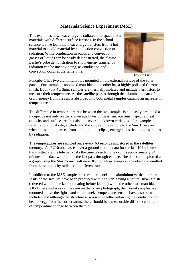# **Materials Science Experiment (MSE)**

This examines how heat energy is radiated into space from materials with different surface finishes. In the school science lab we learn that heat energy transfers from a hot material to a cold material by conduction convection or radiation. While conduction in solids and convection in gasses or liquids can be easily demonstrated, the classic Leslie's cube demonstration to show energy transfer by radiation can be unconvincing, as conduction and convection occur at the same time. Leslie's Cube



Funcube-1 has two aluminium bars mounted on the external surface of the solar panels. One sample is anodized matt black, the other has a highly polished Chrome finish. Both 70 x 4 x 3mm samples are thermally isolated and include thermistors to measure their temperature. As the satellite passes through the illuminated part of its orbit, energy from the sun is absorbed into both metal samples causing an increase in temperature.

The difference in temperature rise between the two samples is not easily predicted as it depends not only on the known attributes of mass, surface finish, specific heat capacity and surface area but also on several unknown variables - for example satellite rotational rate, attitude and the angle of the sample to the Sun. However, when the satellite passes from sunlight into eclipse, energy is lost from both samples by radiation.

The temperatures are sampled once every 60 seconds and stored in the satellites memory. As FUNcube passes over a ground station, data for the last 104 minutes is transmitted via the telemetry. As the time taken for one orbit is approximately 94 minutes, the data will include the last pass through eclipse. The data can be plotted as a graph using the 'dashboard' software. It shows how energy is absorbed and emitted from the samples by radiation at different rates.

In addition to the MSE samples on the solar panels, the aluminium vertical corner struts of the satellite have been produced with one side having a natural silver finish (covered with a blue kapton coating before launch) while the others are matt black. All of these surfaces can be seen on the cover photograph, the formal samples are mounted above the right-hand solar panel. Temperature sensors have also been included and although the structure is screwed together allowing the conduction of heat energy from the corner struts, there should be a measurable difference in the rate of temperature change between them all.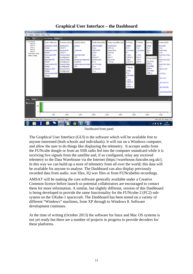

# **Graphical User Interface – the Dashboard**

#### Dashboard front panel

The Graphical User Interface (GUI) is the software which will be available free to anyone interested (both schools and individuals). It will run on a Windows computer, and allow the user to do things like displaying the telemetry. It accepts audio from the FUNcube dongle or from an SSB radio fed into the computer soundcard while it is receiving live signals from the satellite and, if so configured, relay any received telemetry to the Data Warehouse via the Internet (https://warehouse.funcube.org.uk/). In this way we can build up a store of telemetry from all over the world; this data will be available for anyone to analyse. The Dashboard can also display previously recorded data from audio .wav files, IQ wav files or from FUNcubebin recordings.

AMSAT will be making the core software generally available under a Creative Common licence before launch so potential collaborators are encouraged to contact them for more information. A similar, but slightly different, version of this Dashboard is being developed to provide the same functionality for the FUNcube-2 (FC2) subsystem on the UKube-1 spacecraft. The Dashboard has been tested on a variety of different "Windows" machines, from XP through to Windows 8. Software development continues.

At the time of writing (October 2013) the software for linux and Mac OS systems is not yet ready but there are a number of projects in progress to provide decoders for these platforms.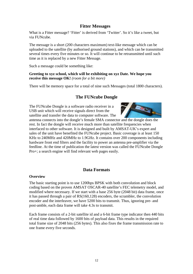# **Fitter Messages**

What is a Fitter message? 'Fitter' is derived from 'Twitter'. So it's like a tweet, but via FUNcube.

The message is a short (200 characters maximum) text-like message which can be uploaded to the satellite (by authorised ground stations), and which can be transmitted several times every five minutes or so. It will continue to be retransmitted until such time as it is replaced by a new Fitter Message.

Such a message could be something like:

**Greeting to xyz school, which will be exhibiting on xyz Date. We hope you receive this message OK!** *(room for a bit more)*

There will be memory space for a total of nine such Messages (total 1800 characters).

# **The FUNcube Dongle**

The FUNcube Dongle is a software radio receiver in a USB unit which will receive signals direct from the satellite and transfer the data to computer software. The



antenna connects into the dongle's female SMA connector and the dongle does the rest. In fact the dongle will receive much more than satellite frequencies when interfaced to other software. It is designed and built by AMSAT-UK's expert and sales of the unit have benefited the FUNcube project. Basic coverage is at least 150 KHz to 240MHz and 420MHz to 1.9GHz. It contains over 200 components including hardware front end filters and the facility to power an antenna pre-amplifier via the feedline. At the time of publication the latest version was called the FUNcube Dongle Pro+; a search engine will find relevant web pages easily.

# **Data Formats**

#### **Overview**

The basic starting point is to use 1200bps BPSK with both convolution and block coding based on the proven AMSAT OSCAR-40 satellite's FEC telemetry model, and modified where necessary. If we start with a base 256 byte (2048 bit) data frame, once it has passed through a pair of RS(160,128) encoders, the scrambler, the convolution encoder and the interleaver, we have 5200 bits to transmit. Thus, ignoring pre- and post-amble, each data frame will take 4.3s to transmit.

Each frame consists of a 2-bit satellite id and a 6-bit frame type indicator then 440 bits of real time data followed by 1600 bits of payload data. This results in the required total frame size of 2048 bits (256 bytes). This also fixes the frame transmission rate to one frame every five seconds.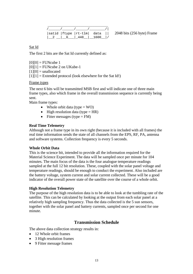|  |                      | satid   ftype   rt-tlm   data |
|--|----------------------|-------------------------------|
|  | $2$   6   440   1600 |                               |

|  $2048 \text{ bits}$  (256 byte) Frame

Sat Id

The first 2 bits are the Sat Id currently defined as:

 $[0][0]$  = FUNcube 1  $[0][1]$  = FUNcube 2 on UKube-1  $[1][0] =$  unallocated  $[1][1]$  = Extended protocol (look elsewhere for the Sat Id!)

#### Frame types

The next 6 bits will be transmitted MSB first and will indicate one of three main frame types, also which frame in the overall transmission sequence is currently being sent.

Main frame types:

- Whole orbit data (type  $=$  WO)
- High resolution data (type  $= HR$ )
- Fitter messages (type  $=$  FM)

#### **Real Time Telemetry**

Although not a frame type in its own right (because it is included with all frames) the real time information sends the state of all channels from the EPS, RF, PA, antenna and software systems. Collection frequency is every 5 seconds.

#### **Whole Orbit Data**

This is the science bit, intended to provide all the information required for the Material Science Experiment. The data will be sampled once per minute for 104 minutes. The main focus of the data is the four analogue temperature readings sampled at the full 12 bit resolution. These, coupled with the solar panel voltage and temperature readings, should be enough to conduct the experiment. Also included are the battery voltage, system current and solar current collected. These will be a good indicator of the overall power state of the satellite over the course of a whole orbit.

#### **High Resolution Telemetry**

The purpose of the high resolution data is to be able to look at the tumbling rate of the satellite. This can be calculated by looking at the output from each solar panel at a relatively high sampling frequency. Thus the data collected is the 5 sun sensors, together with the solar panel and battery currents, sampled once per second for one minute.

# **Transmission Schedule**

The above data collection strategy results in:

- 12 Whole orbit frames
- 3 High resolution frames
- 9 Fitter message frames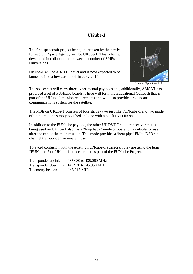# **UKube-1**

The first spacecraft project being undertaken by the newly formed UK Space Agency will be UKube-1. This is being developed in collaboration between a number of SMEs and Universities.

UKube-1 will be a 3-U CubeSat and is now expected to be launched into a low earth orbit in early 2014.



Image © Clyde Space Ltd

The spacecraft will carry three experimental payloads and, additionally, AMSAT has provided a set of FUNcube boards. These will form the Educational Outreach that is part of the UKube-1 mission requirements and will also provide a redundant communications system for the satellite.

The MSE on UKube-1 consists of four strips - two just like FUNcube-1 and two made of titanium - one simply polished and one with a black PVD finish.

In addition to the FUNcube payload, the other UHF/VHF radio transceiver that is being used on UKube-1 also has a "loop back" mode of operation available for use after the end of the main mission. This mode provides a 'bent pipe' FM to DSB single channel transponder for amateur use.

To avoid confusion with the existing FUNcube-1 spacecraft they are using the term "FUNcube-2 on UKube-1" to describe this part of the FUNcube Project.

Transponder uplink 435.080 to 435.060 MHz Transponder downlink 145.930 to145.950 MHz Telemetry beacon 145.915 MHz